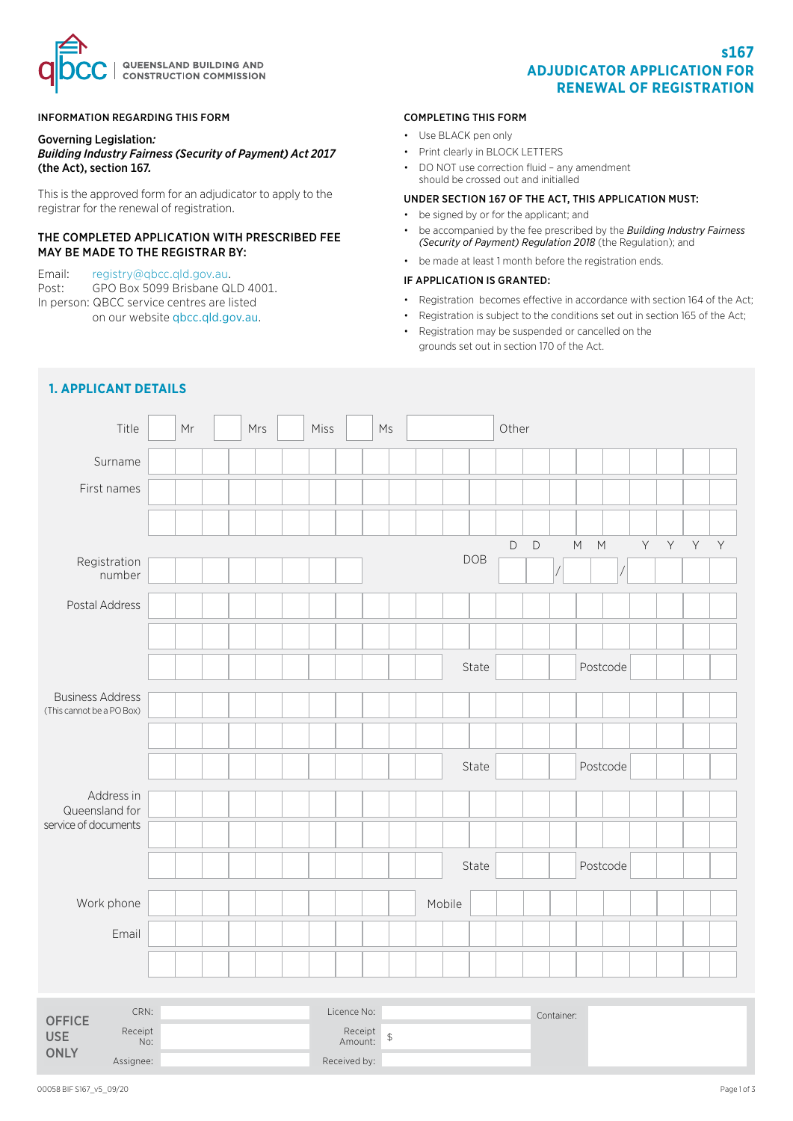

## INFORMATION REGARDING THIS FORM

#### Governing Legislation*: Building Industry Fairness (Security of Payment) Act 2017*  (the Act), section 167*.*

This is the approved form for an adjudicator to apply to the registrar for the renewal of registration.

## THE COMPLETED APPLICATION WITH PRESCRIBED FEE MAY BE MADE TO THE REGISTRAR BY:

Email: [registry@qbcc.qld.gov.au](mailto:registry%40qbcc.qld.gov.au%20?subject=).<br>Post: GPO Box 5099 Brisbane QI GPO Box 5099 Brisbane QLD 4001. In person: QBCC service centres are listed on our website [qbcc.qld.gov.au](http://qbcc.qld.gov.au).

## COMPLETING THIS FORM

- Use BLACK pen only
- Print clearly in BLOCK LETTERS
- DO NOT use correction fluid any amendment should be crossed out and initialled

## UNDER SECTION 167 OF THE ACT, THIS APPLICATION MUST:

- be signed by or for the applicant; and
- be accompanied by the fee prescribed by the *[Building Industry Fairness](https://www.legislation.qld.gov.au/view/html/inforce/current/sl-2018-0016#sch.2)  [\(Security of Payment\) Regulation 2018](https://www.legislation.qld.gov.au/view/html/inforce/current/sl-2018-0016#sch.2)* (the Regulation); and
- be made at least 1 month before the registration ends.

#### IF APPLICATION IS GRANTED:

- Registration becomes effective in accordance with section 164 of the Act;
- Registration is subject to the conditions set out in section 165 of the Act;
- Registration may be suspended or cancelled on the grounds set out in section 170 of the Act.

| Title                                                 | Mr                                |  | Mrs |  | Miss |  | Ms             |        |            | Other       |             |            |                                 |          |    |             |   |             |
|-------------------------------------------------------|-----------------------------------|--|-----|--|------|--|----------------|--------|------------|-------------|-------------|------------|---------------------------------|----------|----|-------------|---|-------------|
| Surname                                               |                                   |  |     |  |      |  |                |        |            |             |             |            |                                 |          |    |             |   |             |
| First names                                           |                                   |  |     |  |      |  |                |        |            |             |             |            |                                 |          |    |             |   |             |
|                                                       |                                   |  |     |  |      |  |                |        |            |             |             |            |                                 |          |    |             |   |             |
|                                                       |                                   |  |     |  |      |  |                |        |            | $\mathsf D$ | $\mathsf D$ |            | ${\sf M}$<br>$\mathsf{M}% _{0}$ |          | Y. | $\mathsf Y$ | Y | $\mathsf Y$ |
| Registration<br>number                                |                                   |  |     |  |      |  |                |        | <b>DOB</b> |             |             |            |                                 |          |    |             |   |             |
| Postal Address                                        |                                   |  |     |  |      |  |                |        |            |             |             |            |                                 |          |    |             |   |             |
|                                                       |                                   |  |     |  |      |  |                |        |            |             |             |            |                                 |          |    |             |   |             |
|                                                       |                                   |  |     |  |      |  |                |        | State      |             |             |            |                                 | Postcode |    |             |   |             |
| <b>Business Address</b><br>(This cannot be a PO Box)  |                                   |  |     |  |      |  |                |        |            |             |             |            |                                 |          |    |             |   |             |
|                                                       |                                   |  |     |  |      |  |                |        |            |             |             |            |                                 |          |    |             |   |             |
|                                                       |                                   |  |     |  |      |  |                |        | State      |             |             | Postcode   |                                 |          |    |             |   |             |
| Address in<br>Queensland for                          |                                   |  |     |  |      |  |                |        |            |             |             |            |                                 |          |    |             |   |             |
| service of documents                                  |                                   |  |     |  |      |  |                |        |            |             |             |            |                                 |          |    |             |   |             |
|                                                       |                                   |  |     |  |      |  |                |        | State      |             |             |            |                                 | Postcode |    |             |   |             |
| Work phone                                            |                                   |  |     |  |      |  |                | Mobile |            |             |             |            |                                 |          |    |             |   |             |
| Email                                                 |                                   |  |     |  |      |  |                |        |            |             |             |            |                                 |          |    |             |   |             |
|                                                       |                                   |  |     |  |      |  |                |        |            |             |             |            |                                 |          |    |             |   |             |
|                                                       |                                   |  |     |  |      |  |                |        |            |             |             |            |                                 |          |    |             |   |             |
| CRN:<br><b>OFFICE</b><br>Receipt<br><b>USE</b><br>No: | Licence No:<br>Receipt<br>Amount: |  |     |  |      |  | $\updownarrow$ |        |            |             |             | Container: |                                 |          |    |             |   |             |

# **1. APPLICANT DETAILS**

Assignee:  $\qquad \qquad$  Received by:

**ONLY**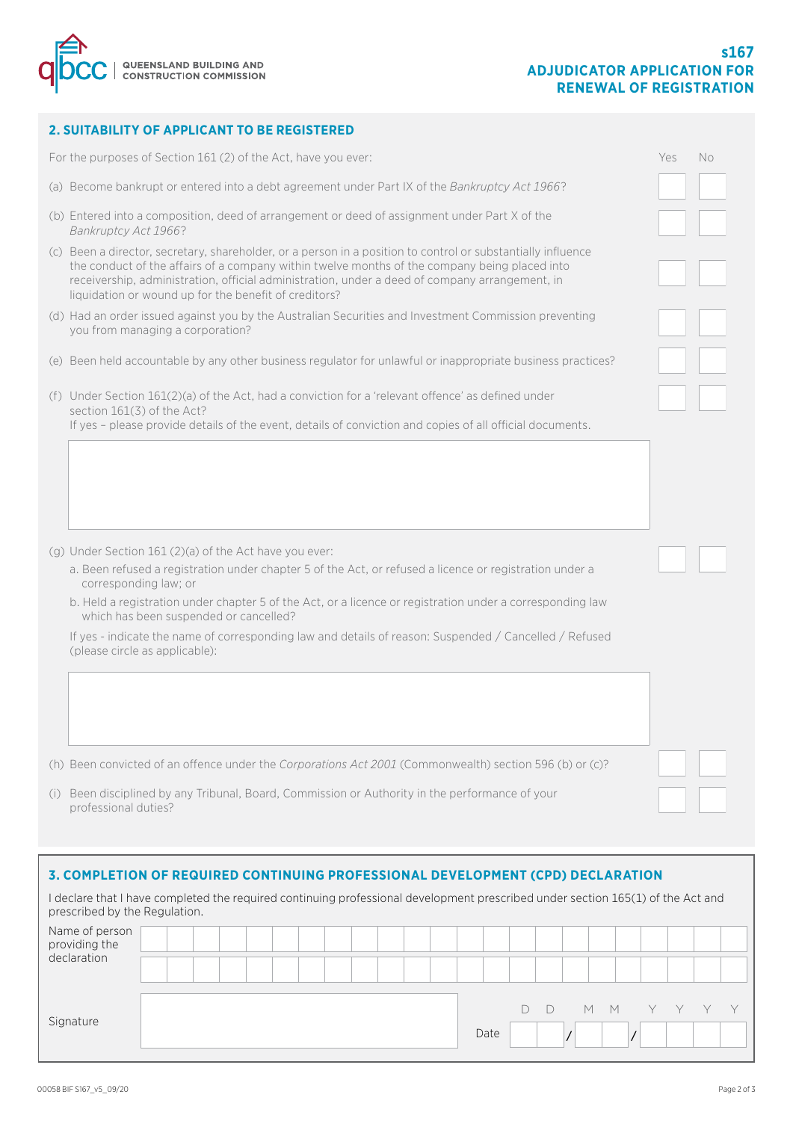

## **2. SUITABILITY OF APPLICANT TO BE REGISTERED**

| For the purposes of Section 161 (2) of the Act, have you ever:                                                                                                                                                                                                                                                                                                           | Yes | No |
|--------------------------------------------------------------------------------------------------------------------------------------------------------------------------------------------------------------------------------------------------------------------------------------------------------------------------------------------------------------------------|-----|----|
| (a) Become bankrupt or entered into a debt agreement under Part IX of the Bankruptcy Act 1966?                                                                                                                                                                                                                                                                           |     |    |
| (b) Entered into a composition, deed of arrangement or deed of assignment under Part X of the<br>Bankruptcy Act 1966?                                                                                                                                                                                                                                                    |     |    |
| (c) Been a director, secretary, shareholder, or a person in a position to control or substantially influence<br>the conduct of the affairs of a company within twelve months of the company being placed into<br>receivership, administration, official administration, under a deed of company arrangement, in<br>liquidation or wound up for the benefit of creditors? |     |    |
| (d) Had an order issued against you by the Australian Securities and Investment Commission preventing<br>you from managing a corporation?                                                                                                                                                                                                                                |     |    |
| (e) Been held accountable by any other business regulator for unlawful or inappropriate business practices?                                                                                                                                                                                                                                                              |     |    |
| (f) Under Section 161(2)(a) of the Act, had a conviction for a 'relevant offence' as defined under<br>section 161(3) of the Act?<br>If yes - please provide details of the event, details of conviction and copies of all official documents.                                                                                                                            |     |    |
|                                                                                                                                                                                                                                                                                                                                                                          |     |    |
| $(g)$ Under Section 161 (2)(a) of the Act have you ever:                                                                                                                                                                                                                                                                                                                 |     |    |
| a. Been refused a registration under chapter 5 of the Act, or refused a licence or registration under a<br>corresponding law; or                                                                                                                                                                                                                                         |     |    |
| b. Held a registration under chapter 5 of the Act, or a licence or registration under a corresponding law<br>which has been suspended or cancelled?                                                                                                                                                                                                                      |     |    |
| If yes - indicate the name of corresponding law and details of reason: Suspended / Cancelled / Refused<br>(please circle as applicable):                                                                                                                                                                                                                                 |     |    |
|                                                                                                                                                                                                                                                                                                                                                                          |     |    |
| (h) Been convicted of an offence under the Corporations Act 2001 (Commonwealth) section 596 (b) or (c)?                                                                                                                                                                                                                                                                  |     |    |
| (i) Been disciplined by any Tribunal, Board, Commission or Authority in the performance of your<br>professional duties?                                                                                                                                                                                                                                                  |     |    |

## **3. COMPLETION OF REQUIRED CONTINUING PROFESSIONAL DEVELOPMENT (CPD) DECLARATION**

I declare that I have completed the required continuing professional development prescribed under section 165(1) of the Act and prescribed by the Regulation. Name of person providing the declaration Signature Date D D M M Y Y Y Y / /